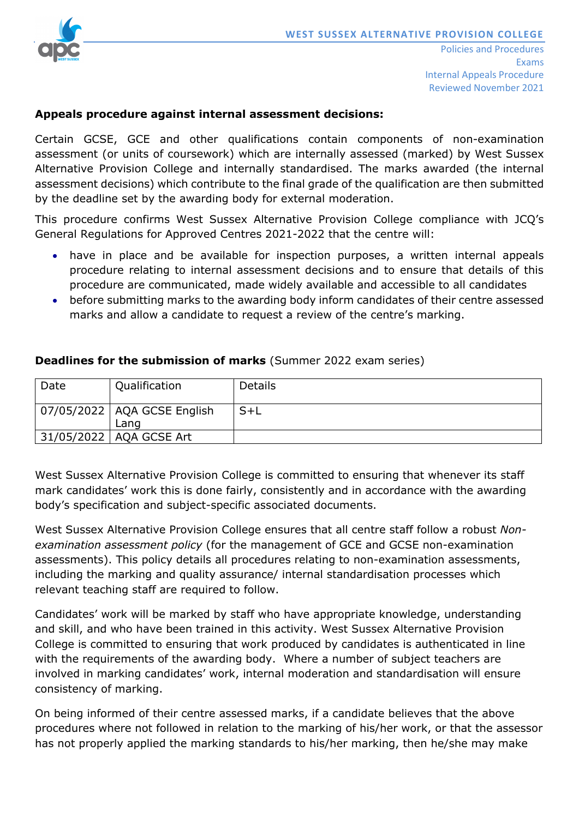

## **Appeals procedure against internal assessment decisions:**

Certain GCSE, GCE and other qualifications contain components of non-examination assessment (or units of coursework) which are internally assessed (marked) by West Sussex Alternative Provision College and internally standardised. The marks awarded (the internal assessment decisions) which contribute to the final grade of the qualification are then submitted by the deadline set by the awarding body for external moderation.

This procedure confirms West Sussex Alternative Provision College compliance with JCQ's General Regulations for Approved Centres 2021-2022 that the centre will:

- have in place and be available for inspection purposes, a written internal appeals procedure relating to internal assessment decisions and to ensure that details of this procedure are communicated, made widely available and accessible to all candidates
- before submitting marks to the awarding body inform candidates of their centre assessed marks and allow a candidate to request a review of the centre's marking.

| Date | Qualification                         | <b>Details</b> |
|------|---------------------------------------|----------------|
|      | 07/05/2022   AQA GCSE English<br>Lang | $S+L$          |
|      | 31/05/2022   AQA GCSE Art             |                |

# **Deadlines for the submission of marks** (Summer 2022 exam series)

West Sussex Alternative Provision College is committed to ensuring that whenever its staff mark candidates' work this is done fairly, consistently and in accordance with the awarding body's specification and subject-specific associated documents.

West Sussex Alternative Provision College ensures that all centre staff follow a robust *Nonexamination assessment policy* (for the management of GCE and GCSE non-examination assessments). This policy details all procedures relating to non-examination assessments, including the marking and quality assurance/ internal standardisation processes which relevant teaching staff are required to follow.

Candidates' work will be marked by staff who have appropriate knowledge, understanding and skill, and who have been trained in this activity. West Sussex Alternative Provision College is committed to ensuring that work produced by candidates is authenticated in line with the requirements of the awarding body. Where a number of subject teachers are involved in marking candidates' work, internal moderation and standardisation will ensure consistency of marking.

On being informed of their centre assessed marks, if a candidate believes that the above procedures where not followed in relation to the marking of his/her work, or that the assessor has not properly applied the marking standards to his/her marking, then he/she may make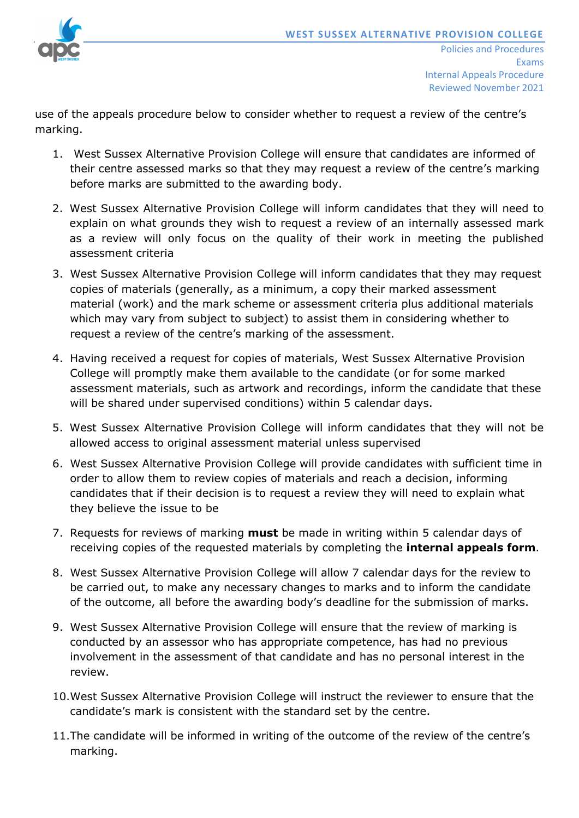

use of the appeals procedure below to consider whether to request a review of the centre's marking.

- 1. West Sussex Alternative Provision College will ensure that candidates are informed of their centre assessed marks so that they may request a review of the centre's marking before marks are submitted to the awarding body.
- 2. West Sussex Alternative Provision College will inform candidates that they will need to explain on what grounds they wish to request a review of an internally assessed mark as a review will only focus on the quality of their work in meeting the published assessment criteria
- 3. West Sussex Alternative Provision College will inform candidates that they may request copies of materials (generally, as a minimum, a copy their marked assessment material (work) and the mark scheme or assessment criteria plus additional materials which may vary from subject to subject) to assist them in considering whether to request a review of the centre's marking of the assessment.
- 4. Having received a request for copies of materials, West Sussex Alternative Provision College will promptly make them available to the candidate (or for some marked assessment materials, such as artwork and recordings, inform the candidate that these will be shared under supervised conditions) within 5 calendar days.
- 5. West Sussex Alternative Provision College will inform candidates that they will not be allowed access to original assessment material unless supervised
- 6. West Sussex Alternative Provision College will provide candidates with sufficient time in order to allow them to review copies of materials and reach a decision, informing candidates that if their decision is to request a review they will need to explain what they believe the issue to be
- 7. Requests for reviews of marking **must** be made in writing within 5 calendar days of receiving copies of the requested materials by completing the **internal appeals form**.
- 8. West Sussex Alternative Provision College will allow 7 calendar days for the review to be carried out, to make any necessary changes to marks and to inform the candidate of the outcome, all before the awarding body's deadline for the submission of marks.
- 9. West Sussex Alternative Provision College will ensure that the review of marking is conducted by an assessor who has appropriate competence, has had no previous involvement in the assessment of that candidate and has no personal interest in the review.
- 10.West Sussex Alternative Provision College will instruct the reviewer to ensure that the candidate's mark is consistent with the standard set by the centre.
- 11.The candidate will be informed in writing of the outcome of the review of the centre's marking.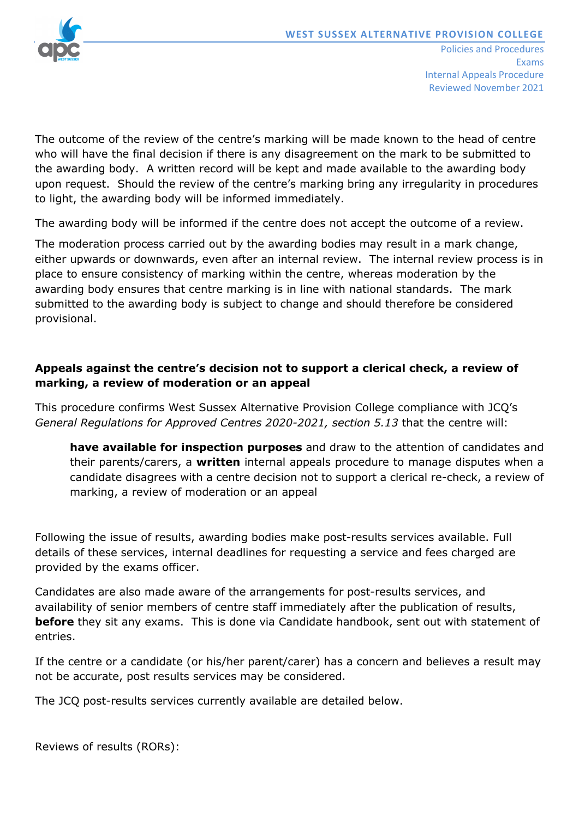

The outcome of the review of the centre's marking will be made known to the head of centre who will have the final decision if there is any disagreement on the mark to be submitted to the awarding body. A written record will be kept and made available to the awarding body upon request. Should the review of the centre's marking bring any irregularity in procedures to light, the awarding body will be informed immediately.

The awarding body will be informed if the centre does not accept the outcome of a review.

The moderation process carried out by the awarding bodies may result in a mark change, either upwards or downwards, even after an internal review. The internal review process is in place to ensure consistency of marking within the centre, whereas moderation by the awarding body ensures that centre marking is in line with national standards. The mark submitted to the awarding body is subject to change and should therefore be considered provisional.

# **Appeals against the centre's decision not to support a clerical check, a review of marking, a review of moderation or an appeal**

This procedure confirms West Sussex Alternative Provision College compliance with JCQ's *General Regulations for Approved Centres 2020-2021, section 5.13* that the centre will:

**have available for inspection purposes** and draw to the attention of candidates and their parents/carers, a **written** internal appeals procedure to manage disputes when a candidate disagrees with a centre decision not to support a clerical re-check, a review of marking, a review of moderation or an appeal

Following the issue of results, awarding bodies make post-results services available. Full details of these services, internal deadlines for requesting a service and fees charged are provided by the exams officer.

Candidates are also made aware of the arrangements for post-results services, and availability of senior members of centre staff immediately after the publication of results, **before** they sit any exams. This is done via Candidate handbook, sent out with statement of entries.

If the centre or a candidate (or his/her parent/carer) has a concern and believes a result may not be accurate, post results services may be considered.

The JCQ post-results services currently available are detailed below.

Reviews of results (RORs):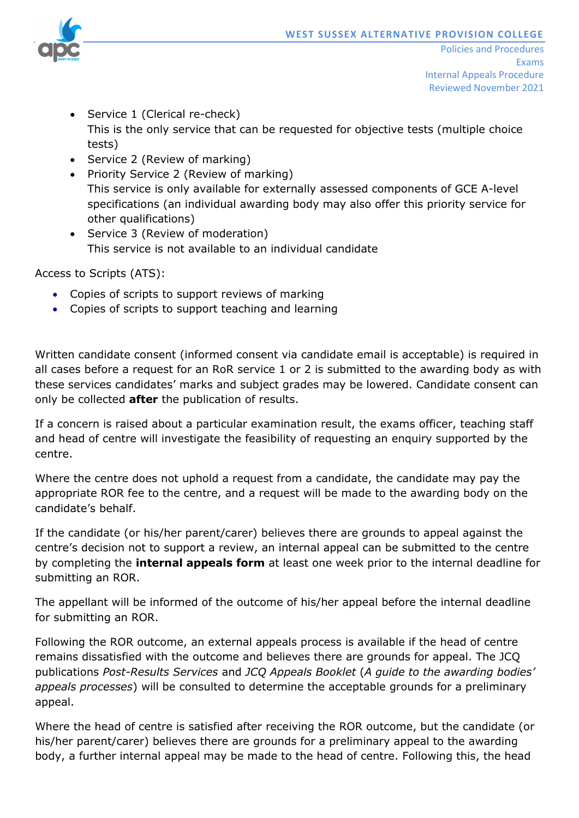

- Service 1 (Clerical re-check) This is the only service that can be requested for objective tests (multiple choice tests)
- Service 2 (Review of marking)
- Priority Service 2 (Review of marking) This service is only available for externally assessed components of GCE A-level specifications (an individual awarding body may also offer this priority service for other qualifications)
- Service 3 (Review of moderation) This service is not available to an individual candidate

Access to Scripts (ATS):

- Copies of scripts to support reviews of marking
- Copies of scripts to support teaching and learning

Written candidate consent (informed consent via candidate email is acceptable) is required in all cases before a request for an RoR service 1 or 2 is submitted to the awarding body as with these services candidates' marks and subject grades may be lowered. Candidate consent can only be collected **after** the publication of results.

If a concern is raised about a particular examination result, the exams officer, teaching staff and head of centre will investigate the feasibility of requesting an enquiry supported by the centre.

Where the centre does not uphold a request from a candidate, the candidate may pay the appropriate ROR fee to the centre, and a request will be made to the awarding body on the candidate's behalf.

If the candidate (or his/her parent/carer) believes there are grounds to appeal against the centre's decision not to support a review, an internal appeal can be submitted to the centre by completing the **internal appeals form** at least one week prior to the internal deadline for submitting an ROR.

The appellant will be informed of the outcome of his/her appeal before the internal deadline for submitting an ROR.

Following the ROR outcome, an external appeals process is available if the head of centre remains dissatisfied with the outcome and believes there are grounds for appeal. The JCQ publications *Post-Results Services* and *JCQ Appeals Booklet* (*A guide to the awarding bodies' appeals processes*) will be consulted to determine the acceptable grounds for a preliminary appeal.

Where the head of centre is satisfied after receiving the ROR outcome, but the candidate (or his/her parent/carer) believes there are grounds for a preliminary appeal to the awarding body, a further internal appeal may be made to the head of centre. Following this, the head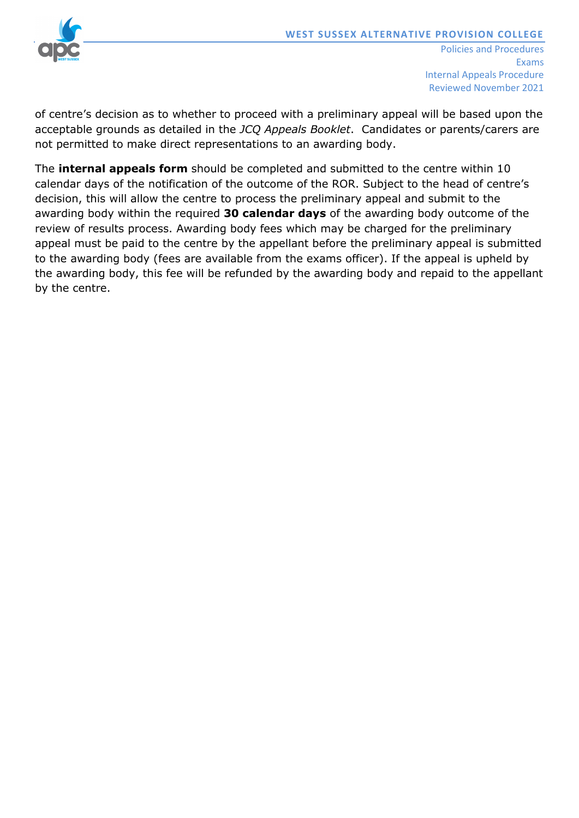

of centre's decision as to whether to proceed with a preliminary appeal will be based upon the acceptable grounds as detailed in the *JCQ Appeals Booklet*. Candidates or parents/carers are not permitted to make direct representations to an awarding body.

The **internal appeals form** should be completed and submitted to the centre within 10 calendar days of the notification of the outcome of the ROR. Subject to the head of centre's decision, this will allow the centre to process the preliminary appeal and submit to the awarding body within the required **30 calendar days** of the awarding body outcome of the review of results process. Awarding body fees which may be charged for the preliminary appeal must be paid to the centre by the appellant before the preliminary appeal is submitted to the awarding body (fees are available from the exams officer). If the appeal is upheld by the awarding body, this fee will be refunded by the awarding body and repaid to the appellant by the centre.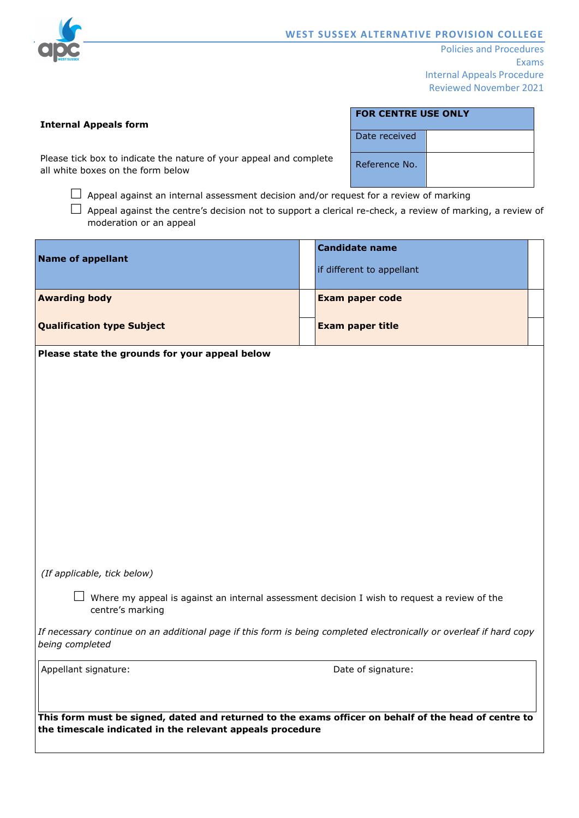

Policies and Procedures Exams Internal Appeals Procedure Reviewed November 2021

#### **Internal Appeals form**

| FOR CENTRE USE ONLY |  |  |  |  |  |
|---------------------|--|--|--|--|--|
| Date received       |  |  |  |  |  |
| Reference No.       |  |  |  |  |  |

Please tick box to indicate the nature of your appeal and complete all white boxes on the form below

 $\Box$  Appeal against an internal assessment decision and/or request for a review of marking

 $\Box$  Appeal against the centre's decision not to support a clerical re-check, a review of marking, a review of moderation or an appeal

| <b>Name of appellant</b>          |  | Candidate name<br>if different to appellant |  |
|-----------------------------------|--|---------------------------------------------|--|
| <b>Awarding body</b>              |  | <b>Exam paper code</b>                      |  |
| <b>Qualification type Subject</b> |  | <b>Exam paper title</b>                     |  |

**Please state the grounds for your appeal below**

*(If applicable, tick below)*

 $\Box$  Where my appeal is against an internal assessment decision I wish to request a review of the centre's marking

*If necessary continue on an additional page if this form is being completed electronically or overleaf if hard copy being completed*

Appellant signature:  $\Box$  Date of signature:

**This form must be signed, dated and returned to the exams officer on behalf of the head of centre to the timescale indicated in the relevant appeals procedure**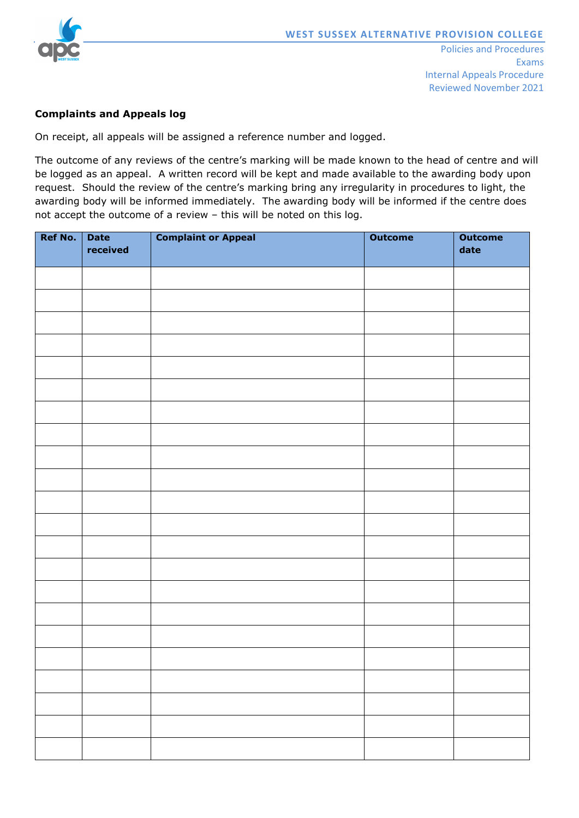

## **Complaints and Appeals log**

On receipt, all appeals will be assigned a reference number and logged.

The outcome of any reviews of the centre's marking will be made known to the head of centre and will be logged as an appeal. A written record will be kept and made available to the awarding body upon request. Should the review of the centre's marking bring any irregularity in procedures to light, the awarding body will be informed immediately. The awarding body will be informed if the centre does not accept the outcome of a review – this will be noted on this log.

| <b>Ref No.</b> | <b>Date</b><br>received | <b>Complaint or Appeal</b>                                                                                           | <b>Outcome</b> | <b>Outcome</b><br>date |
|----------------|-------------------------|----------------------------------------------------------------------------------------------------------------------|----------------|------------------------|
|                |                         |                                                                                                                      |                |                        |
|                |                         |                                                                                                                      |                |                        |
|                |                         |                                                                                                                      |                |                        |
|                |                         |                                                                                                                      |                |                        |
|                |                         |                                                                                                                      |                |                        |
|                |                         |                                                                                                                      |                |                        |
|                |                         |                                                                                                                      |                |                        |
|                |                         |                                                                                                                      |                |                        |
|                |                         |                                                                                                                      |                |                        |
|                |                         |                                                                                                                      |                |                        |
|                |                         |                                                                                                                      |                |                        |
|                |                         |                                                                                                                      |                |                        |
|                |                         |                                                                                                                      |                |                        |
|                |                         |                                                                                                                      |                |                        |
|                |                         |                                                                                                                      |                |                        |
|                |                         |                                                                                                                      |                |                        |
|                |                         |                                                                                                                      |                |                        |
|                |                         |                                                                                                                      |                |                        |
|                |                         |                                                                                                                      |                |                        |
|                |                         |                                                                                                                      |                |                        |
|                |                         |                                                                                                                      |                |                        |
|                |                         |                                                                                                                      |                |                        |
|                |                         |                                                                                                                      |                |                        |
|                |                         | <u> 1989 - Andrea Santa Andrea Andrea Andrea Andrea Andrea Andrea Andrea Andrea Andrea Andrea Andrea Andrea Andr</u> |                |                        |